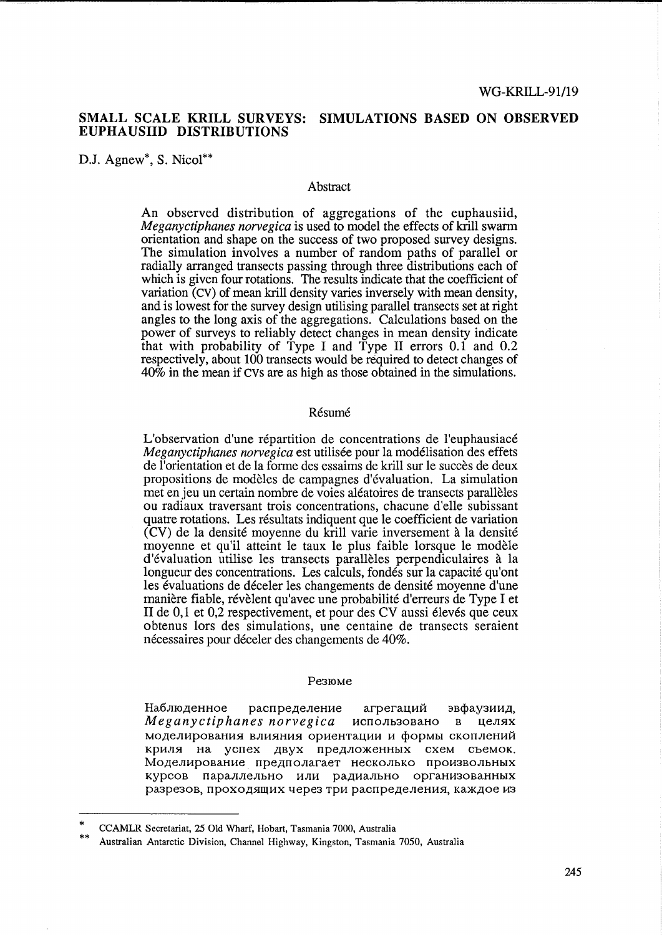# **SMALL SCALE KRILL SURVEYS: SIMULATIONS BASED ON OBSERVED EUPHAUSIID DISTRIBUTIONS**

D.J. Agnew<sup>\*</sup>, S. Nicol<sup>\*\*</sup>

## Abstract

An observed distribution of aggregations of the euphausiid, *Meganyctiphanes norvegica* is used to model the effects of krill swarm orientation and shape on the success of two proposed survey designs. The simulation involves a number of random paths of parallel or radially arranged transects passing through three distributions each of which is given four rotations. The results indicate that the coefficient of variation (cv) of mean krill density varies inversely with mean density, and is lowest for the survey design utilising parallel transects set at right angles to the long axis of the aggregations. Calculations based on the power of surveys to reliably detect changes in mean density indicate that with probability of Type I and Type II errors 0.1 and 0.2 respectively, about 100 transects would be required to detect changes of 40% in the mean if CVs are as high as those obtained in the simulations.

## **Résumé**

L'observation d'une répartition de concentrations de l'euphausiacé *Meganyctiphanes norvegica* est utilisée pour la modélisation des effets de l'orientation et de la fonne des essaims de kriU sur le succes de deux propositions de modeles de campagnes d'evaluation. La simulation met en jeu un certain nombre de voies aléatoires de transects parallèles ou radiaux traversant trois concentrations, chacune d'elle subissant quatre rotations. Les résultats indiquent que le coefficient de variation  $(CV)$  de la densité moyenne du krill varie inversement à la densité moyenne et qu'il atteint le taux le plus faible lorsque le modele d'evaluation utilise les transects paralleles perpendiculaires a la longueur des concentrations. Les calculs, fondés sur la capacité qu'ont les évaluations de déceler les changements de densité moyenne d'une manière fiable, révèlent qu'avec une probabilité d'erreurs de Type I et II de 0,1 et 0,2 respectivement, et pour des CV aussi élevés que ceux obtenus lors des simulations, une centaine de transects seraient nécessaires pour déceler des changements de 40%.

## Pe3IOMe

Наблюденное распределение агрегаций эвфаузиид, *Meganyctiphanes norvegica* использовано в целях моделирования влияния ориентации и формы скоплений криля на успех двух предложенных схем съемок. Моделирование предполагает несколько произвольных KypCOB napaJIJIeJIbHO HJIH pa,l{HaJIbHO opraHH30BaHHbIX разрезов, проходящих через три распределения, каждое из

<sup>\*</sup>  CCAMLR Secretariat, 25 Old Wharf, Hobart, Tasmania 7000, Australia

<sup>\*\*</sup>  Australian Antarctic Division, Channel Highway, Kingston, Tasmania 7050, Australia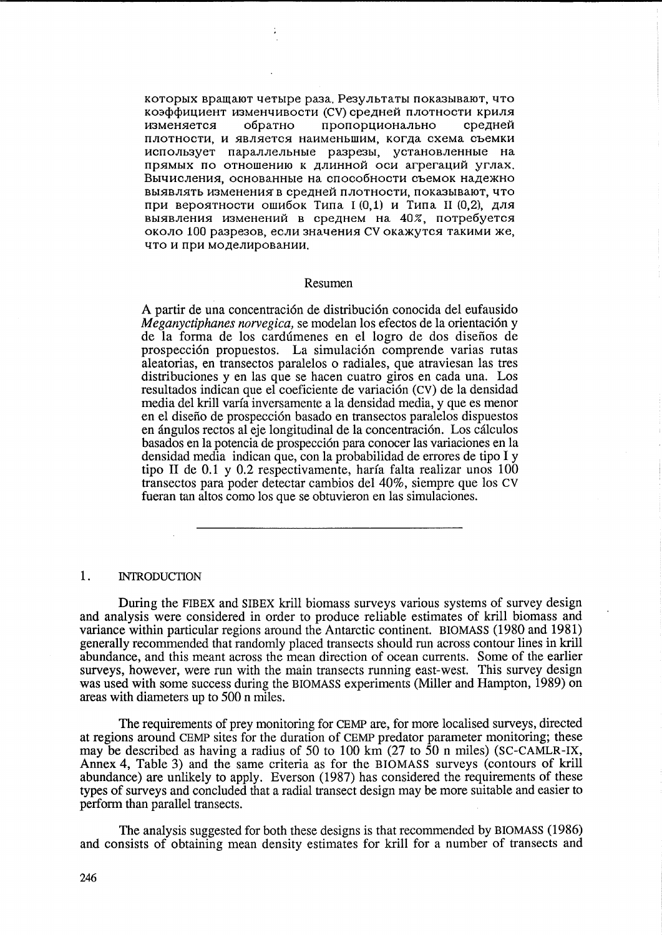которых вращают четыре раза. Результаты показывают, что коэффициент изменчивости (CV) средней плотности криля пропорционально изменяется обратно средней плотности, и является наименьшим, когда схема съемки использует параллельные разрезы, установленные на прямых по отношению к длинной оси агрегаций углах. Вычисления, основанные на способности съемок надежно выявлять изменения в средней плотности, показывают, что при вероятности ошибок Типа I (0.1) и Типа II (0.2), для выявления изменений в среднем на 40%, потребуется около 100 разрезов, если значения CV окажутся такими же, что и при моделировании.

#### Resumen

A partir de una concentración de distribución conocida del eufausido Meganyctiphanes norvegica, se modelan los efectos de la orientación y de la forma de los cardúmenes en el logro de dos diseños de prospección propuestos. La simulación comprende varias rutas aleatorias, en transectos paralelos o radiales, que atraviesan las tres distribuciones y en las que se hacen cuatro giros en cada una. Los resultados indican que el coeficiente de variación (CV) de la densidad media del krill varía inversamente a la densidad media, y que es menor en el diseño de prospección basado en transectos paralelos dispuestos en ángulos rectos al eje longitudinal de la concentración. Los cálculos basados en la potencia de prospección para conocer las variaciones en la densidad media indican que, con la probabilidad de errores de tipo I y tipo II de 0.1 y 0.2 respectivamente, haría falta realizar unos 100 transectos para poder detectar cambios del 40%, siempre que los CV fueran tan altos como los que se obtuvieron en las simulaciones.

#### 1. **INTRODUCTION**

During the FIBEX and SIBEX krill biomass surveys various systems of survey design and analysis were considered in order to produce reliable estimates of krill biomass and variance within particular regions around the Antarctic continent. BIOMASS (1980 and 1981) generally recommended that randomly placed transects should run across contour lines in krill abundance, and this meant across the mean direction of ocean currents. Some of the earlier surveys, however, were run with the main transects running east-west. This survey design was used with some success during the BIOMASS experiments (Miller and Hampton, 1989) on areas with diameters up to 500 n miles.

The requirements of prey monitoring for CEMP are, for more localised surveys, directed at regions around CEMP sites for the duration of CEMP predator parameter monitoring; these may be described as having a radius of 50 to 100 km  $(27 \text{ to } 50 \text{ n miles})$  (SC-CAMLR-IX, Annex 4, Table 3) and the same criteria as for the BIOMASS surveys (contours of krill abundance) are unlikely to apply. Everson (1987) has considered the requirements of these types of surveys and concluded that a radial transect design may be more suitable and easier to perform than parallel transects.

The analysis suggested for both these designs is that recommended by BIOMASS (1986) and consists of obtaining mean density estimates for krill for a number of transects and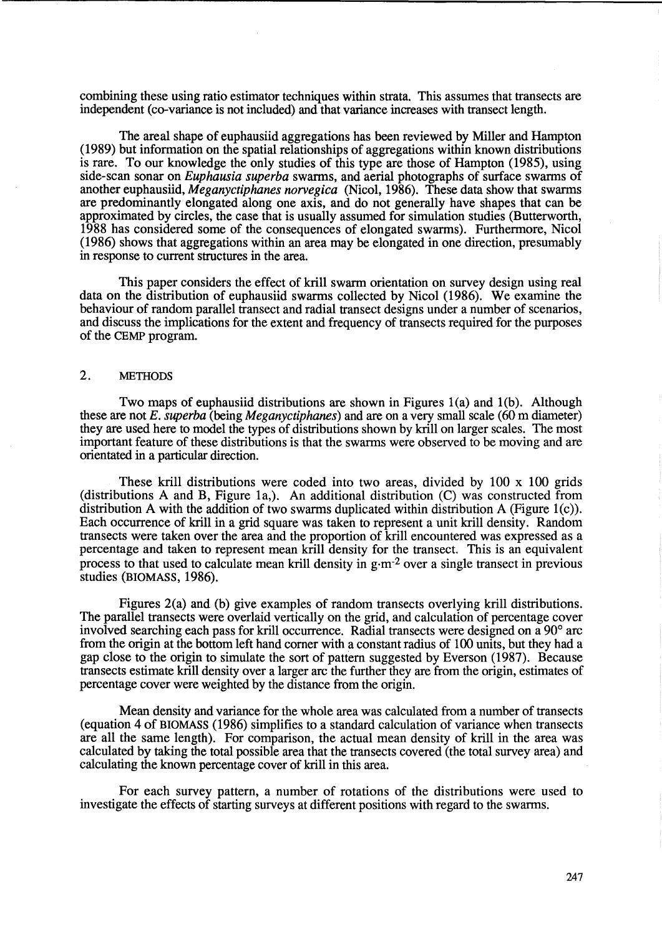combining these using ratio estimator techniques within strata. This assumes that transects are independent (co-variance is not included) and that variance increases with transect length.

The areal shape of euphausiid aggregations has been reviewed by Miller and Hampton (1989) but information on the spatial relationships of aggregations within known distributions is rare. To our knowledge the only studies of this type are those of Hampton (1985), using side-scan sonar on *Euphausia superba* swarms, and aerial photographs of surface swarms of another euphausiid, *Meganyctiphanes norvegica* (Nicol, 1986). These data show that swarms are predominantly elongated along one axis, and do not generally have shapes that can be approximated by circles, the case that is usually assumed for simulation studies (Butterworth, 1988 has considered some of the consequences of elongated swarms). Furthermore, Nicol (1986) shows that aggregations within an area may be elongated in one direction, presumably in response to current structures in the area.

This paper considers the effect of krill swarm orientation on survey design using real data on the distribution of euphausiid swarms collected by Nicol (1986). We examine the behaviour of random parallel transect and radial transect designs under a number of scenarios, and discuss the implications for the extent and frequency of transects required for the purposes of the CEMP program.

# 2. METHODS

Two maps of euphausiid distributions are shown in Figures  $1(a)$  and  $1(b)$ . Although these are not *E. superba* (being *Meganyctiphanes)* and are on a very small scale (60 m diameter) they are used here to model the types of distributions shown by krill on larger scales. The most important feature of these distributions is that the swarms were observed to be moving and are orientated in a particular direction.

These krill distributions were coded into two areas, divided by  $100 \times 100$  grids (distributions A and B, Figure la,). An additional distribution (C) was constructed from distribution A with the addition of two swarms duplicated within distribution A (Figure 1(c)). Each occurrence of krill in a grid square was taken to represent a unit krill density. Random transects were taken over the area and the proportion of krill encountered was expressed as a percentage and taken to represent mean krill density for the transect. This is an equivalent process to that used to calculate mean krill density in  $g \cdot m^{-2}$  over a single transect in previous studies (BIOMASS, 1986).

Figures 2(a) and (b) give examples of random transects overlying krill distributions. The parallel transects were overlaid vertically on the grid, and calculation of percentage cover involved searching each pass for krill occurrence. Radial transects were designed on a 90° arc from the origin at the bottom left hand corner with a constant radius of 100 units, but they had a gap close to the origin to simulate the sort of pattern suggested by Everson (1987). Because transects estimate krill density over a larger arc the further they are from the origin, estimates of percentage cover were weighted by the distance from the origin.

Mean density and variance for the whole area was calculated from a number of transects (equation 4 of BIOMASS (1986) simplifies to a standard calculation of variance when transects are all the same length). For comparison, the actual mean density of krill in the area was calculated by taking the total possible area that the transects covered (the total survey area) and calculating the known percentage cover of krill in this area.

For each survey pattern, a number of rotations of the distributions were used to investigate the effects of starting surveys at different positions with regard to the swarms.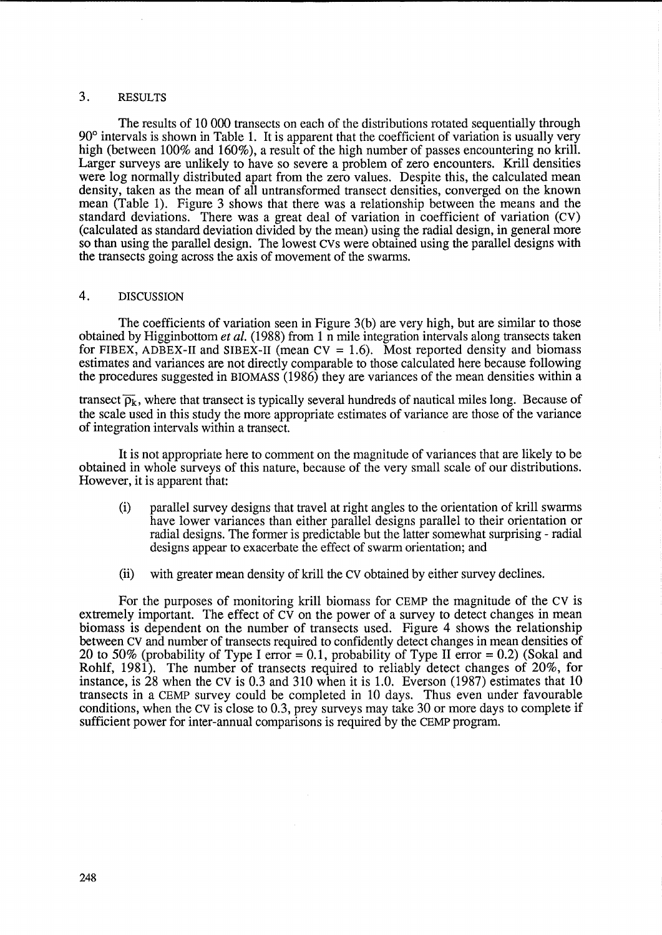# 3. RESULTS

The results of 10 000 transects on each of the distributions rotated sequentially through 90° intervals is shown in Table 1. It is apparent that the coefficient of variation is usually very high (between 100% and 160%), a result of the high number of passes encountering no krill. Larger surveys are unlikely to have so severe a problem of zero encounters. Krill densities were log normally distributed apart from the zero values. Despite this, the calculated mean density, taken as the mean of all untransformed transect densities, converged on the known mean (Table 1). Figure 3 shows that there was a relationship between the means and the standard deviations. There was a great deal of variation in coefficient of variation (CV) (calculated as standard deviation divided by the mean) using the radial design, in general more so than using the parallel design. The lowest CVs were obtained using the parallel designs with the transects going across the axis of movement of the swarms.

# 4. DISCUSSION

The coefficients of variation seen in Figure 3(b) are very high, but are similar to those obtained by Higginbottom *et al.* (1988) from 1 n mile integration intervals along transects taken for FIBEX, ADBEX-II and SIBEX-II (mean  $CV = 1.6$ ). Most reported density and biomass estimates and variances are not directly comparable to those calculated here because following the procedures suggested in BIOMASS (1986) they are variances of the mean densities within a

transect  $\overline{\rho_k}$ , where that transect is typically several hundreds of nautical miles long. Because of the scale used in this study the more appropriate estimates of variance are those of the variance of integration intervals within a transect.

It is not appropriate here to comment on the magnitude of variances that are likely to be obtained in whole surveys of this nature, because of the very small scale of our distributions. However, it is apparent that:

- (i) parallel survey designs that travel at right angles to the orientation of krill swarms have lower variances than either parallel designs parallel to their orientation or radial designs. The former is predictable but the latter somewhat surprising - radial designs appear to exacerbate the effect of swarm orientation; and
- (ii) with greater mean density of krill the Cv obtained by either survey declines.

For the purposes of monitoring krill biomass for CEMP the magnitude of the CV is extremely important. The effect of CV on the power of a survey to detect changes in mean biomass is dependent on the number of transects used. Figure 4 shows the relationship between cv and number of transects required to confidently detect changes in mean densities of 20 to 50% (probability of Type I error = 0.1, probability of Type II error = 0.2) (Sokal and Rohlf, 1981). The number of transects required to reliably detect changes of 20%, for instance, is 28 when the CV is 0.3 and 310 when it is 1.0. Everson (1987) estimates that 10 transects in a CEMP survey could be completed in 10 days. Thus even under favourable conditions, when the cv is close to 0.3, prey surveys may take 30 or more days to complete if sufficient power for inter-annual comparisons is required by the CEMP program.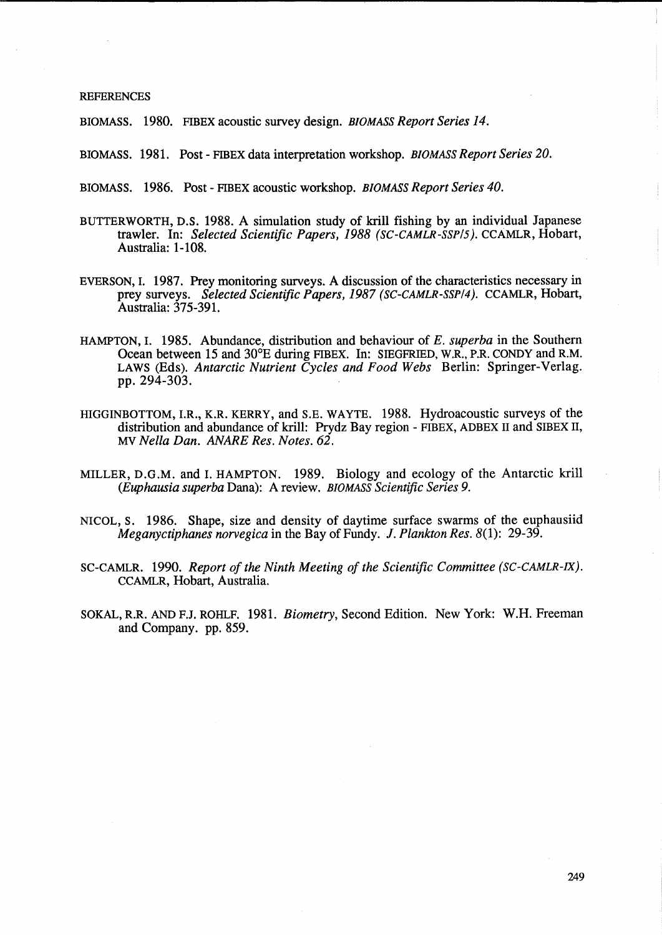## REFERENCES

BIOMASS. 1980. FIBEX acoustic survey design. *BIOMASS Report Series 14.* 

BIOMASS. 1981. Post - FffiEX data interpretation workshop. *BIOMASS Report Series 20.* 

BIOMASS. 1986. Post - FIBEX acoustic workshop. *BIOMASS Report Series 40.* 

- BUTTERWORTH, D.S. 1988. A simulation study of kriU fishing by an individual Japanese trawler. In: *Selected Scientific Papers,* 1988 *(SC-CAMLR-SSP/S).* CCAMLR, Hobart, Australia: 1-108.
- EVERSON, I. 1987. Prey monitoring surveys. A discussion of the characteristics necessary in prey surveys. *Selected Scientific Papers,* 1987 *(SC-CAMLR-SSP/4).* CCAMLR, Hobart, Australia: 375-391.
- HAMPTON, I. 1985. Abundance, distribution and behaviour of *E. superba* in the Southern Ocean between 15 and 30°E during FIBEX. In: SIEGFRIED, W.R., P.R. CONDY and R.M. LAWS (Eds). *Antarctic Nutrient Cycles and Food Webs* Berlin: Springer-Verlag. pp. 294-303.
- HIGGINBOTTOM, I.R., K.R. KERRY, and S.E. WAYTE. 1988. Hydroacoustic surveys of the distribution and abundance of krill: Prydz Bay region - FIBEX, ADBEX 11 and SIBEX 11, MV *Nella Dan. ANARE Res. Notes. 62.*
- MILLER, D.G.M. and I. HAMPTON. 1989. Biology and ecology of the Antarctic krill *(Euphausia superba* Dana): A review. *BIOMASS Scientific Series 9.*
- NICOL, S. 1986. Shape, size and density of daytime surface swarms of the euphausiid *Meganyctiphanes norvegica* in the Bay of Fundy. 1. *Plankton Res.* 8(1): 29-39.
- SC-CAMLR. 1990. *Report of the Ninth Meeting of the Scientific Committee (SC-CAMLR-IX).*  CCAMLR, Hobart, Australia.
- SOKAL, R.R. AND F.J. ROHLF. 1981. *Biometry,* Second Edition. New York: W.H. Freeman and Company. pp. 859.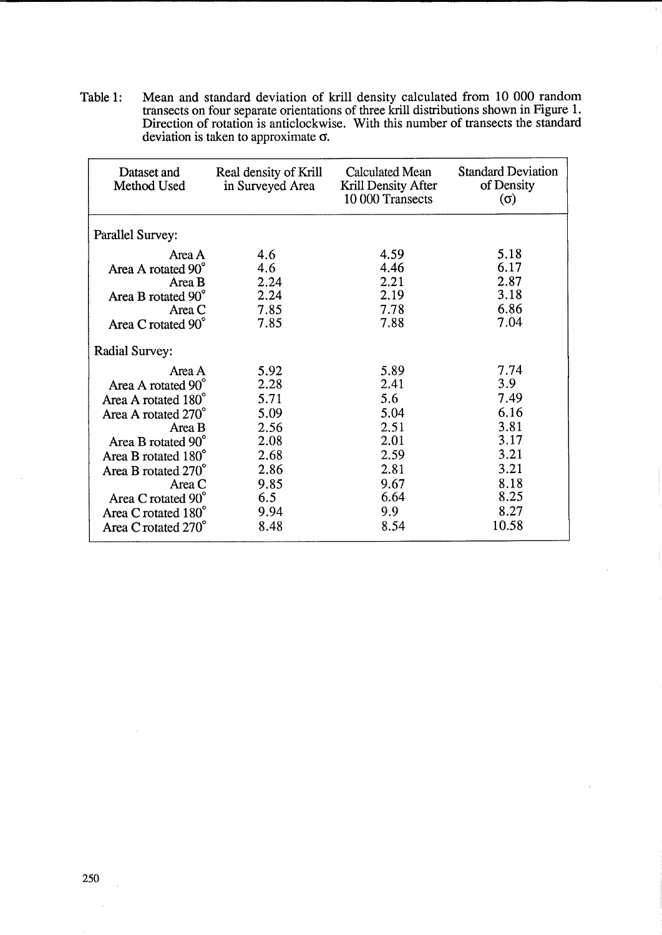Table 1: Mean and standard deviation of krill density calculated from 10 000 random transects on four separate orientations of three kriU distributions shown in Figure 1. Direction of rotation is anticlockwise. With this number of transects the standard deviation is taken to approximate  $\sigma$ .

 $\bar{z}$ 

| Dataset and<br>Method Used | Real density of Krill<br>in Surveyed Area | <b>Calculated Mean</b><br>Krill Density After<br>10 000 Transects | <b>Standard Deviation</b><br>of Density<br>$(\sigma)$ |
|----------------------------|-------------------------------------------|-------------------------------------------------------------------|-------------------------------------------------------|
| <b>Parallel Survey:</b>    |                                           |                                                                   |                                                       |
| Area A                     | 4.6                                       | 4.59                                                              | 5.18                                                  |
| Area A rotated 90°         | 4.6                                       | 4.46                                                              | 6.17                                                  |
| Area B                     | 2.24                                      | 2.21                                                              | 2.87                                                  |
| Area B rotated 90°         | 2.24                                      | 2.19                                                              | 3.18                                                  |
| Area C                     | 7.85                                      | 7.78                                                              | 6.86                                                  |
| Area C rotated 90°         | 7.85                                      | 7.88                                                              | 7.04                                                  |
| <b>Radial Survey:</b>      |                                           |                                                                   |                                                       |
| Area A                     | 5.92                                      | 5.89                                                              | 7.74                                                  |
| Area A rotated 90°         | 2.28                                      | 2.41                                                              | 3.9                                                   |
| Area A rotated 180°        | 5.71                                      | 5.6                                                               | 7.49                                                  |
| Area A rotated 270°        | 5.09                                      | 5.04                                                              | 6.16                                                  |
| Area B                     | 2.56                                      | 2.51                                                              | 3.81                                                  |
| Area B rotated 90°         | 2.08                                      | 2.01                                                              | 3.17                                                  |
| Area B rotated 180°        | 2.68                                      | 2.59                                                              | 3.21                                                  |
| Area B rotated 270°        | 2.86                                      | 2.81                                                              | 3.21                                                  |
| Area C                     | 9.85                                      | 9.67                                                              | 8.18                                                  |
| Area C rotated 90°         | 6.5                                       | 6.64                                                              | 8.25                                                  |
| Area C rotated 180°        | 9.94                                      | 9.9                                                               | 8.27                                                  |
| Area C rotated 270°        | 8.48                                      | 8.54                                                              | 10.58                                                 |

 $\sim$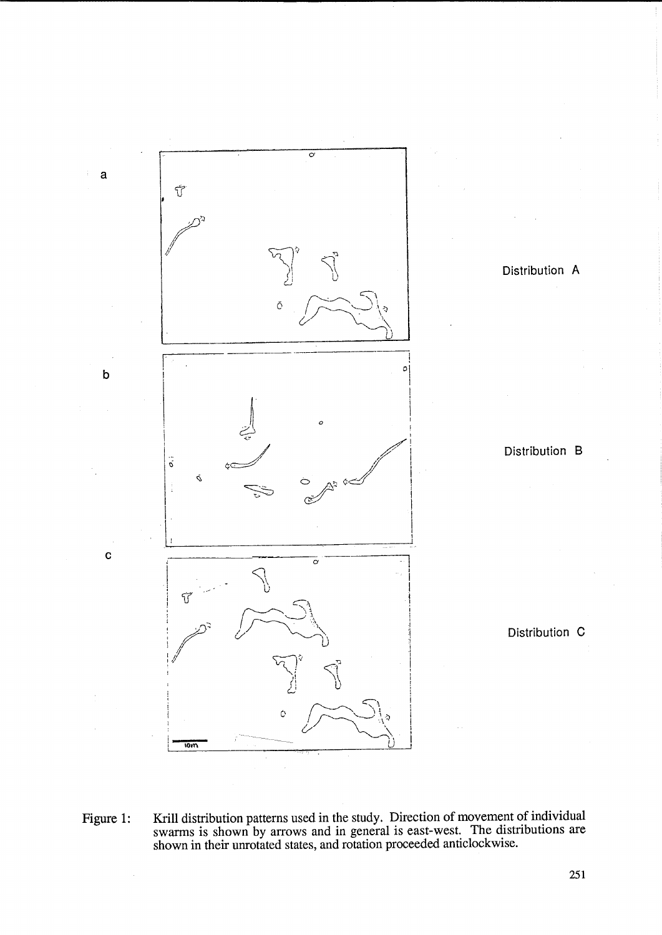

Figure 1: Krill distribution patterns used in the study. Direction of movement of individual swarms is shown by arrows and in general is east-west. The distributions are shown in their unrotated states, and rotation proceeded anticlockwise.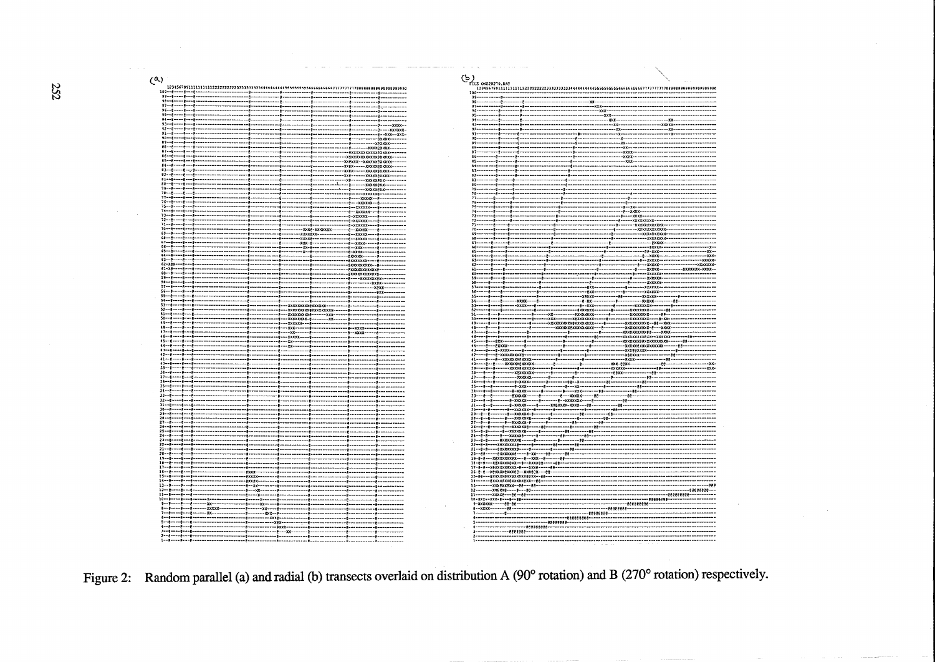252

 $(4)$ 

**Service** 

 $100 - 8 - -8$ . . . . . . . . ------------------ $-1 -2 - -6 - -8$  $89 - 8 - 8 - 8 - 8$ -8\*\*\*\*--<br>-8\*\*\*\*-- $1 - 8 - - 1 - 8$ **Xexxx--xxxxxxexxxxx** xxex---xxxxxexxxxx --xxxxx\*xxxvvov \*\*\*\*\*\*\*\*\*\*\* ---<u>--------</u>---<br>---------------\*\*\*\*\*\*<br>--<del>-</del> ------xxxxx<br>----xxxxx-<br>---xxxxxx- $75 - 8$  $\begin{array}{r} -6 - \times \times \times \times \times - - \\ -8 - \times \times \times \times \times - - \\ -8 - \times \times \times \times \times - - \\ -8 - \times \times \times \times \times - - \\ -8 - \times \times \times \times \times - - \\ -8 - \times \times \times \times \times - \\ -8 - \times \times \times \times \times - \end{array}$  $73 - 8 - -8 - 8$  $72 - 8$  $12 - 8 - 12$ ------@-------<br>--XXXE-XXXXXX<br>-XXXXEXX------<br>-XXX-@------- $70 - 9 - 9 - 9 - 9$  $59 - 8 - - -8$ ,,,,,,,,,,,,,,,,  $56 - 1$  $11 - 1 - 1 - 1 - 1$  $1.11$  $5 - 197 - -8 ............$  $59 -$ .......  $-xxe$ -----------------\*\*\*\*\*\*\*\*\*\*\*\*\*\*\*\*\*\*\*\*\* --\*\*\*\*\*\*\*\*\*\*\*------\*\*\*- $-22222222 - 1$ -33--(9--)<br>(9--) **XXXXXX** ---------- $--xxx--$ .<br>|--¥¥¥¥  $.........$ ..<br>16--. . . . . . . . . . . . . . . . . . . . . . . <del>.</del> . - 99 -,,,,,,,,,,,,,,,,  $14...1......$ ....... ۰ē۰ ------ᅜᅎᅎ -\*\*\*\*\*<br>-\*\*\*\*\*<br>-\*\* ....... . . . . . . . . -------------<br>-------<br>-------- $8 - - 12 -$ ...... --x-----------<br>------------x------xx--........  $-xxxx$ ------------------ $-28880$ 5--8----8---8-------- $\sim$ ----------\*\*\*\*----------------<br>---------------



Figure 2: Random parallel (a) and radial (b) transects overlaid on distribution A (90° rotation) and B (270° rotation) respectively.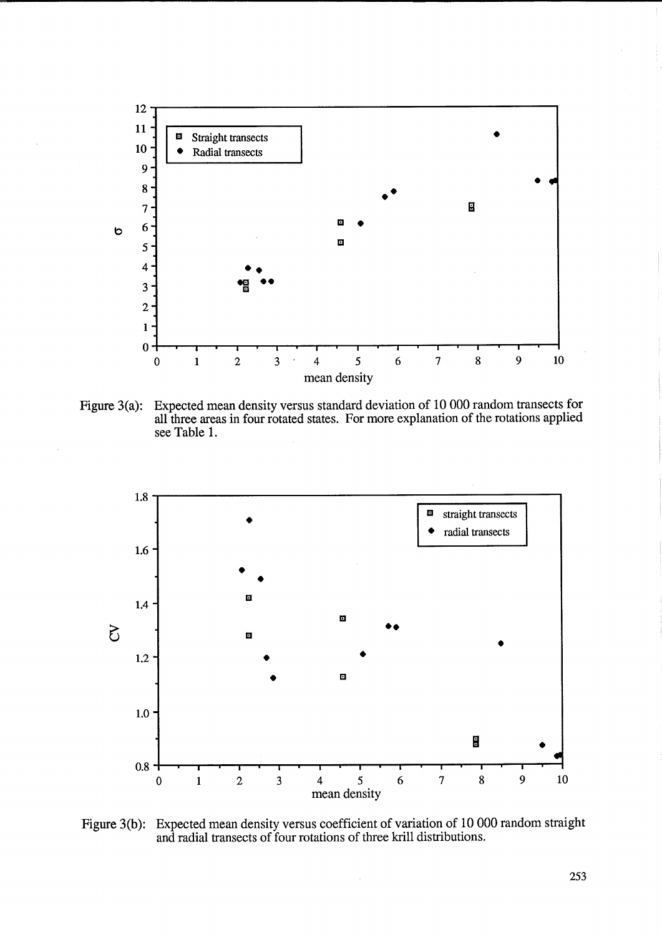![](_page_8_Figure_0.jpeg)

Figure 3(a): Expected mean density versus standard deviation of 10 000 random transects for all three areas in four rotated states. For more explanation of the rotations applied see Table 1.

![](_page_8_Figure_2.jpeg)

Figure 3(b): Expected mean density versus coefficient of variation of 10 000 random straight and radial transects of four rotations of three krill distributions.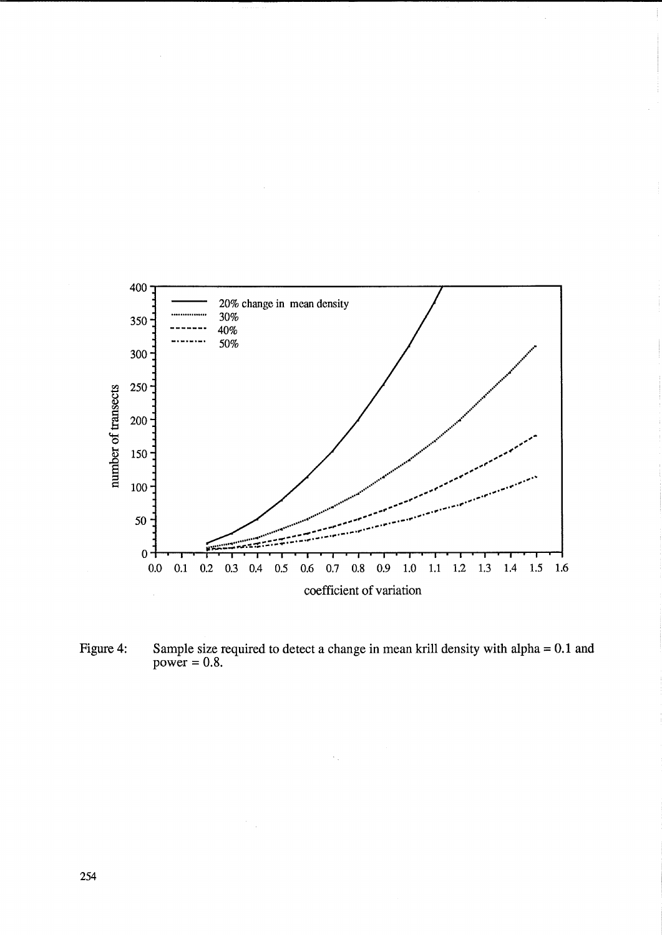![](_page_9_Figure_0.jpeg)

Sample size required to detect a change in mean krill density with alpha =  $0.1$  and power =  $0.8$ . Figure 4:

 $\mathcal{L}_{\mathcal{A}}$ 

 $\frac{1}{2} \frac{1}{2}$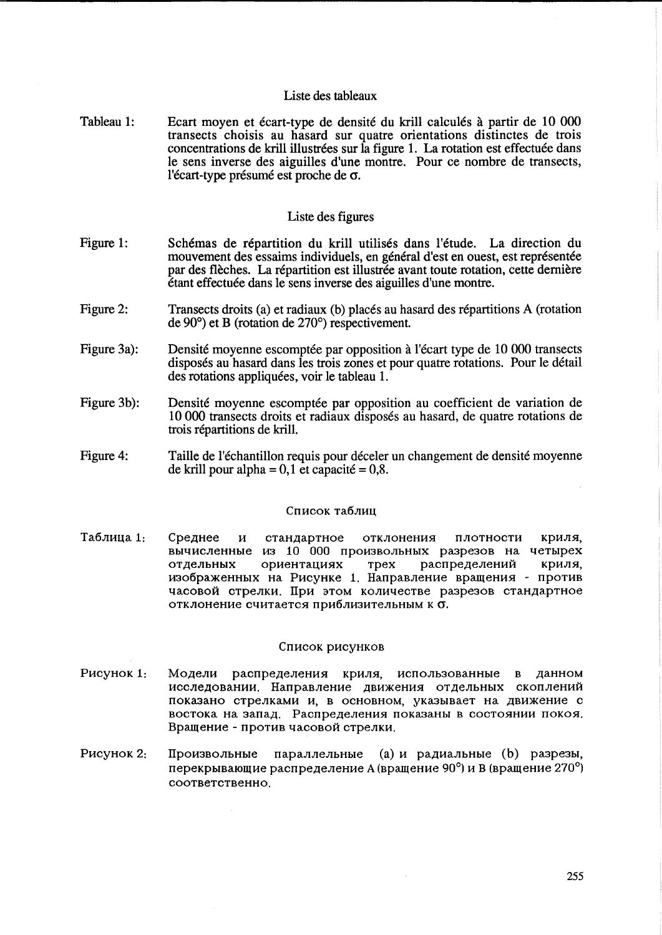# Liste des tableaux

Tableau 1: Ecart moyen et ecart-type de densite du krill ca1cules a partir de 10 000 transects choisis au hasard sur quatre orientations distinctes de trois concentrations de krill illustrées sur la figure 1. La rotation est effectuée dans le sens inverse des aiguilles d'une montre. Pour ce nombre de transects, l'écart-type présumé est proche de  $\sigma$ .

## Liste des figures

- Figure 1: Schémas de répartition du krill utilisés dans l'étude. La direction du mouvement des essaims individuels, en général d'est en ouest, est représentée par des flèches. La répartition est illustrée avant toute rotation, cette dernière etant effectuee dans le sens inverse des aiguilles d'une montre.
- Figure 2: Transects droits (a) et radiaux (b) places au hasard des répartitions A (rotation de 90°) et B (rotation de 270°) respectivement.
- Figure 3a): Densité moyenne escomptée par opposition à l'écart type de 10 000 transects disposes au hasard dans les trois zones et pour quatre rotations. Pour le detail des rotations appliquées, voir le tableau 1.
- Figure 3b): Densité moyenne escomptée par opposition au coefficient de variation de 10 000 transects droits et radiaux disposes au hasard, de quatre rotations de trois repartitions de krill.
- Figure 4: Taille de l'échantillon requis pour déceler un changement de densité moyenne de krill pour alpha =  $0.1$  et capacité =  $0.8$ .

## Список таблиц

Таблица 1: Среднее и стандартное отклонения плотности криля, вычисленные из 10 000 произвольных разрезов на четырех отдельных ориентациях трех распределений криля, изображенных на Рисунке 1. Направление вращения - против часовой стрелки. При этом количестве разрезов стандартное отклонение считается приблизительным к б.

## Список рисунков

- P<sub>HCYHOK</sub> 1: Модели распределения криля, использованные в данном исследовании. Направление движения отдельных скоплений показано стрелками и, в основном, указывает на движение с востока на запад. Распределения показаны в состоянии покоя. Вращение - против часовой стрелки.
- P<sub>HCVHOK</sub> 2:  $\Pi$ роизвольные параллельные (а) и радиальные (b) разрезы, перекрывающие распределение А (вращение 90°) и В (вращение 270°) COOTBeTCTBeHHO.